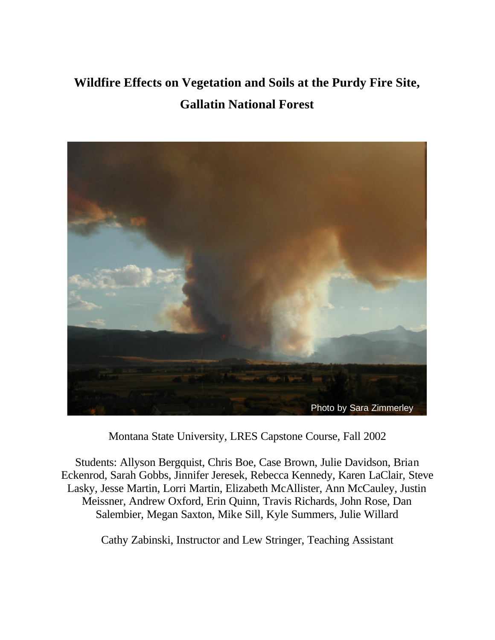## **Wildfire Effects on Vegetation and Soils at the Purdy Fire Site, Gallatin National Forest**



Montana State University, LRES Capstone Course, Fall 2002

Students: Allyson Bergquist, Chris Boe, Case Brown, Julie Davidson, Brian Eckenrod, Sarah Gobbs, Jinnifer Jeresek, Rebecca Kennedy, Karen LaClair, Steve Lasky, Jesse Martin, Lorri Martin, Elizabeth McAllister, Ann McCauley, Justin Meissner, Andrew Oxford, Erin Quinn, Travis Richards, John Rose, Dan Salembier, Megan Saxton, Mike Sill, Kyle Summers, Julie Willard

Cathy Zabinski, Instructor and Lew Stringer, Teaching Assistant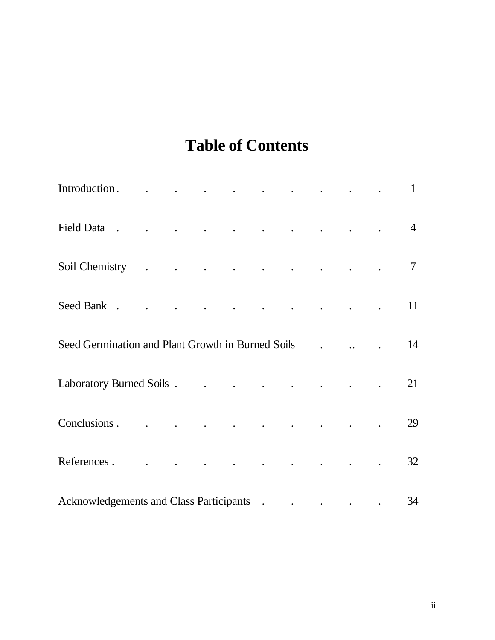# **Table of Contents**

| Introduction. 1                                                                                                                                                                                                                |  |  |  |  |                |
|--------------------------------------------------------------------------------------------------------------------------------------------------------------------------------------------------------------------------------|--|--|--|--|----------------|
| Field Data reserve that the contract of the contract of the contract of the contract of the contract of the contract of the contract of the contract of the contract of the contract of the contract of the contract of the co |  |  |  |  | $\overline{4}$ |
| Soil Chemistry 7                                                                                                                                                                                                               |  |  |  |  |                |
|                                                                                                                                                                                                                                |  |  |  |  | 11             |
|                                                                                                                                                                                                                                |  |  |  |  | 14             |
|                                                                                                                                                                                                                                |  |  |  |  | 21             |
|                                                                                                                                                                                                                                |  |  |  |  | 29             |
| References.                                                                                                                                                                                                                    |  |  |  |  | 32             |
| Acknowledgements and Class Participants (and the contract of the contract of the contract of the contract of the contract of the contract of the contract of the contract of the contract of the contract of the contract of t |  |  |  |  | 34             |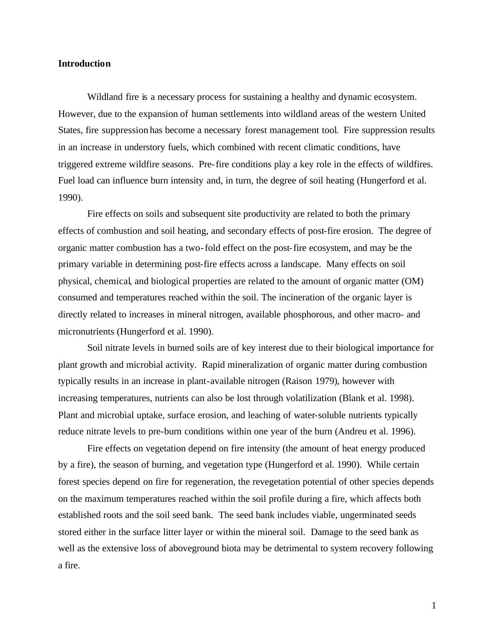## **Introduction**

Wildland fire is a necessary process for sustaining a healthy and dynamic ecosystem. However, due to the expansion of human settlements into wildland areas of the western United States, fire suppression has become a necessary forest management tool. Fire suppression results in an increase in understory fuels, which combined with recent climatic conditions, have triggered extreme wildfire seasons. Pre-fire conditions play a key role in the effects of wildfires. Fuel load can influence burn intensity and, in turn, the degree of soil heating (Hungerford et al. 1990).

Fire effects on soils and subsequent site productivity are related to both the primary effects of combustion and soil heating, and secondary effects of post-fire erosion. The degree of organic matter combustion has a two-fold effect on the post-fire ecosystem, and may be the primary variable in determining post-fire effects across a landscape. Many effects on soil physical, chemical, and biological properties are related to the amount of organic matter (OM) consumed and temperatures reached within the soil. The incineration of the organic layer is directly related to increases in mineral nitrogen, available phosphorous, and other macro- and micronutrients (Hungerford et al. 1990).

Soil nitrate levels in burned soils are of key interest due to their biological importance for plant growth and microbial activity. Rapid mineralization of organic matter during combustion typically results in an increase in plant-available nitrogen (Raison 1979), however with increasing temperatures, nutrients can also be lost through volatilization (Blank et al. 1998). Plant and microbial uptake, surface erosion, and leaching of water-soluble nutrients typically reduce nitrate levels to pre-burn conditions within one year of the burn (Andreu et al. 1996).

Fire effects on vegetation depend on fire intensity (the amount of heat energy produced by a fire), the season of burning, and vegetation type (Hungerford et al. 1990). While certain forest species depend on fire for regeneration, the revegetation potential of other species depends on the maximum temperatures reached within the soil profile during a fire, which affects both established roots and the soil seed bank. The seed bank includes viable, ungerminated seeds stored either in the surface litter layer or within the mineral soil. Damage to the seed bank as well as the extensive loss of aboveground biota may be detrimental to system recovery following a fire.

1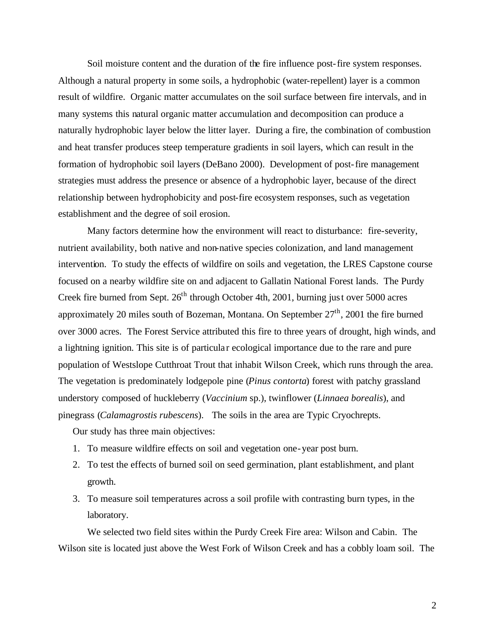Soil moisture content and the duration of the fire influence post-fire system responses. Although a natural property in some soils, a hydrophobic (water-repellent) layer is a common result of wildfire. Organic matter accumulates on the soil surface between fire intervals, and in many systems this natural organic matter accumulation and decomposition can produce a naturally hydrophobic layer below the litter layer. During a fire, the combination of combustion and heat transfer produces steep temperature gradients in soil layers, which can result in the formation of hydrophobic soil layers (DeBano 2000). Development of post-fire management strategies must address the presence or absence of a hydrophobic layer, because of the direct relationship between hydrophobicity and post-fire ecosystem responses, such as vegetation establishment and the degree of soil erosion.

Many factors determine how the environment will react to disturbance: fire-severity, nutrient availability, both native and non-native species colonization, and land management intervention. To study the effects of wildfire on soils and vegetation, the LRES Capstone course focused on a nearby wildfire site on and adjacent to Gallatin National Forest lands. The Purdy Creek fire burned from Sept.  $26<sup>th</sup>$  through October 4th, 2001, burning just over 5000 acres approximately 20 miles south of Bozeman, Montana. On September  $27<sup>th</sup>$ , 2001 the fire burned over 3000 acres. The Forest Service attributed this fire to three years of drought, high winds, and a lightning ignition. This site is of particula r ecological importance due to the rare and pure population of Westslope Cutthroat Trout that inhabit Wilson Creek, which runs through the area. The vegetation is predominately lodgepole pine (*Pinus contorta*) forest with patchy grassland understory composed of huckleberry (*Vaccinium* sp.), twinflower (*Linnaea borealis*), and pinegrass (*Calamagrostis rubescens*). The soils in the area are Typic Cryochrepts.

Our study has three main objectives:

- 1. To measure wildfire effects on soil and vegetation one-year post burn.
- 2. To test the effects of burned soil on seed germination, plant establishment, and plant growth.
- 3. To measure soil temperatures across a soil profile with contrasting burn types, in the laboratory.

We selected two field sites within the Purdy Creek Fire area: Wilson and Cabin. The Wilson site is located just above the West Fork of Wilson Creek and has a cobbly loam soil. The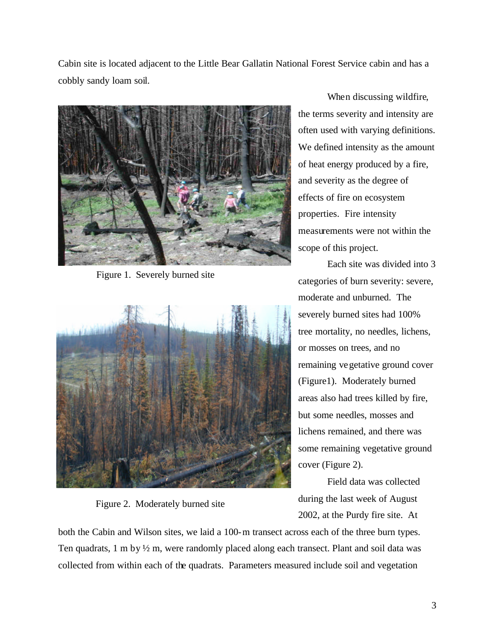Cabin site is located adjacent to the Little Bear Gallatin National Forest Service cabin and has a cobbly sandy loam soil.



Figure 1. Severely burned site



Figure 2. Moderately burned site

When discussing wildfire, the terms severity and intensity are often used with varying definitions. We defined intensity as the amount of heat energy produced by a fire, and severity as the degree of effects of fire on ecosystem properties. Fire intensity measurements were not within the scope of this project.

Each site was divided into 3 categories of burn severity: severe, moderate and unburned. The severely burned sites had 100% tree mortality, no needles, lichens, or mosses on trees, and no remaining vegetative ground cover (Figure1). Moderately burned areas also had trees killed by fire, but some needles, mosses and lichens remained, and there was some remaining vegetative ground cover (Figure 2).

Field data was collected during the last week of August 2002, at the Purdy fire site. At

both the Cabin and Wilson sites, we laid a 100-m transect across each of the three burn types. Ten quadrats, 1 m by ½ m, were randomly placed along each transect. Plant and soil data was collected from within each of the quadrats. Parameters measured include soil and vegetation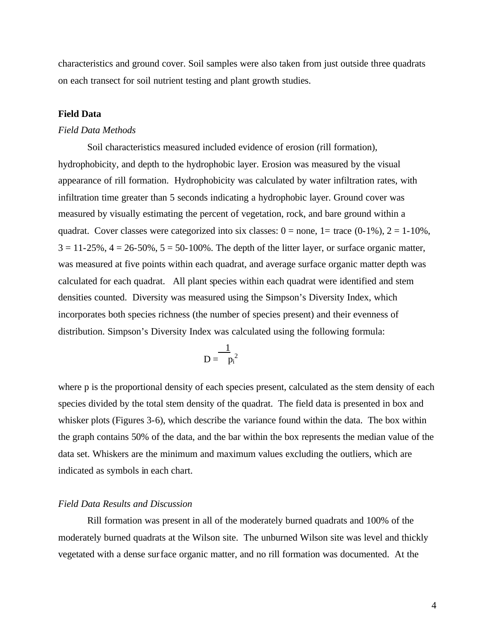characteristics and ground cover. Soil samples were also taken from just outside three quadrats on each transect for soil nutrient testing and plant growth studies.

## **Field Data**

#### *Field Data Methods*

Soil characteristics measured included evidence of erosion (rill formation), hydrophobicity, and depth to the hydrophobic layer. Erosion was measured by the visual appearance of rill formation. Hydrophobicity was calculated by water infiltration rates, with infiltration time greater than 5 seconds indicating a hydrophobic layer. Ground cover was measured by visually estimating the percent of vegetation, rock, and bare ground within a quadrat. Cover classes were categorized into six classes:  $0 =$  none,  $1 =$  trace  $(0-1\%)$ ,  $2 = 1-10\%$ ,  $3 = 11-25\%, 4 = 26-50\%, 5 = 50-100\%$ . The depth of the litter layer, or surface organic matter, was measured at five points within each quadrat, and average surface organic matter depth was calculated for each quadrat. All plant species within each quadrat were identified and stem densities counted. Diversity was measured using the Simpson's Diversity Index, which incorporates both species richness (the number of species present) and their evenness of distribution. Simpson's Diversity Index was calculated using the following formula:

$$
D=\frac{1}{{\left| {{p_i}} \right|}^2}
$$

where p is the proportional density of each species present, calculated as the stem density of each species divided by the total stem density of the quadrat. The field data is presented in box and whisker plots (Figures 3-6), which describe the variance found within the data. The box within the graph contains 50% of the data, and the bar within the box represents the median value of the data set. Whiskers are the minimum and maximum values excluding the outliers, which are indicated as symbols in each chart.

#### *Field Data Results and Discussion*

Rill formation was present in all of the moderately burned quadrats and 100% of the moderately burned quadrats at the Wilson site. The unburned Wilson site was level and thickly vegetated with a dense surface organic matter, and no rill formation was documented. At the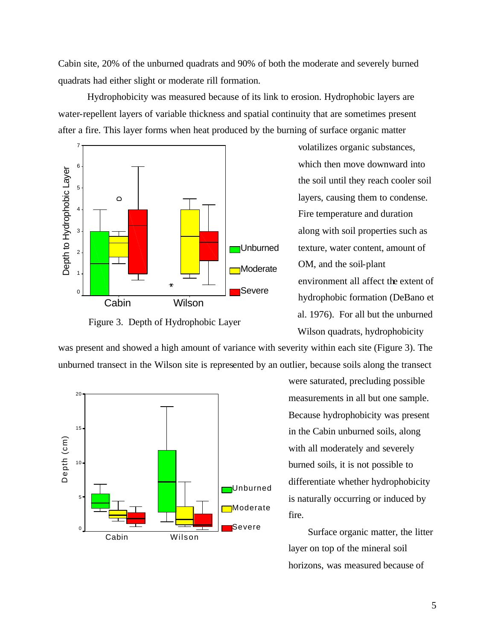Cabin site, 20% of the unburned quadrats and 90% of both the moderate and severely burned quadrats had either slight or moderate rill formation.

Hydrophobicity was measured because of its link to erosion. Hydrophobic layers are water-repellent layers of variable thickness and spatial continuity that are sometimes present after a fire. This layer forms when heat produced by the burning of surface organic matter



Figure 3. Depth of Hydrophobic Layer

volatilizes organic substances, which then move downward into the soil until they reach cooler soil layers, causing them to condense. Fire temperature and duration along with soil properties such as texture, water content, amount of OM, and the soil-plant environment all affect the extent of hydrophobic formation (DeBano et al. 1976). For all but the unburned Wilson quadrats, hydrophobicity

was present and showed a high amount of variance with severity within each site (Figure 3). The unburned transect in the Wilson site is represented by an outlier, because soils along the transect



were saturated, precluding possible measurements in all but one sample. Because hydrophobicity was present in the Cabin unburned soils, along with all moderately and severely burned soils, it is not possible to differentiate whether hydrophobicity is naturally occurring or induced by fire.

Surface organic matter, the litter layer on top of the mineral soil horizons, was measured because of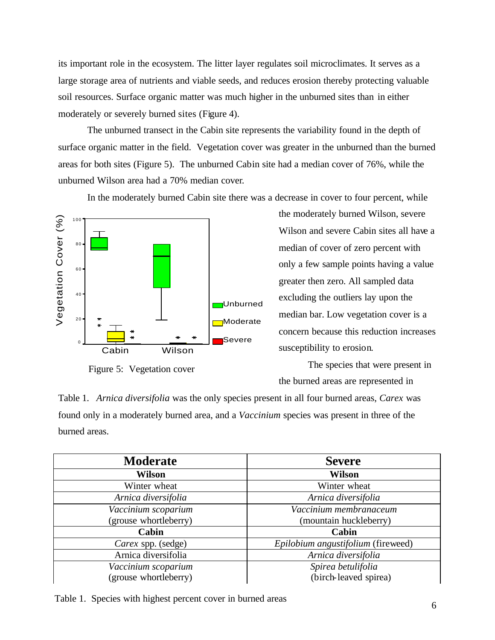its important role in the ecosystem. The litter layer regulates soil microclimates. It serves as a large storage area of nutrients and viable seeds, and reduces erosion thereby protecting valuable soil resources. Surface organic matter was much higher in the unburned sites than in either moderately or severely burned sites (Figure 4).

The unburned transect in the Cabin site represents the variability found in the depth of surface organic matter in the field. Vegetation cover was greater in the unburned than the burned areas for both sites (Figure 5). The unburned Cabin site had a median cover of 76%, while the unburned Wilson area had a 70% median cover.

In the moderately burned Cabin site there was a decrease in cover to four percent, while



Figure 5: Vegetation cover

the moderately burned Wilson, severe Wilson and severe Cabin sites all have a median of cover of zero percent with only a few sample points having a value greater then zero. All sampled data excluding the outliers lay upon the median bar. Low vegetation cover is a concern because this reduction increases susceptibility to erosion.

The species that were present in the burned areas are represented in

Table 1. *Arnica diversifolia* was the only species present in all four burned areas, *Carex* was found only in a moderately burned area, and a *Vaccinium* species was present in three of the burned areas.

| <b>Moderate</b>       | <b>Severe</b>                      |  |  |
|-----------------------|------------------------------------|--|--|
| <b>Wilson</b>         | <b>Wilson</b>                      |  |  |
| Winter wheat          | Winter wheat                       |  |  |
| Arnica diversifolia   | Arnica diversifolia                |  |  |
| Vaccinium scoparium   | Vaccinium membranaceum             |  |  |
| (grouse whortleberry) | (mountain huckleberry)             |  |  |
| Cabin                 | Cabin                              |  |  |
| Carex spp. (sedge)    | Epilobium angustifolium (fireweed) |  |  |
| Arnica diversifolia   | Arnica diversifolia                |  |  |
| Vaccinium scoparium   | Spirea betulifolia                 |  |  |
| (grouse whortleberry) | (birch-leaved spirea)              |  |  |

Table 1. Species with highest percent cover in burned areas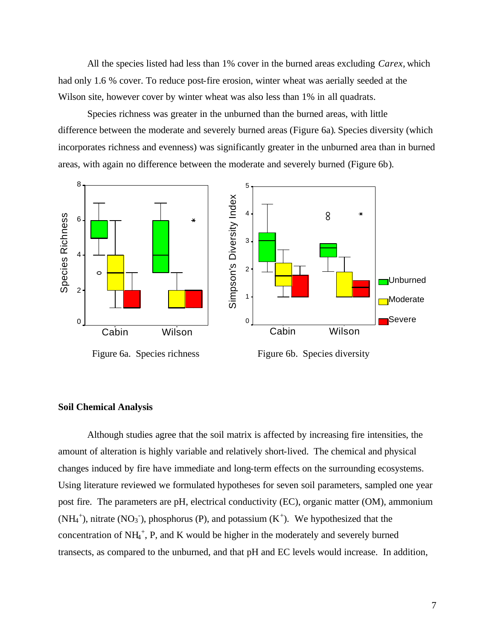All the species listed had less than 1% cover in the burned areas excluding *Carex,* which had only 1.6 % cover. To reduce post-fire erosion, winter wheat was aerially seeded at the Wilson site, however cover by winter wheat was also less than 1% in all quadrats.

Species richness was greater in the unburned than the burned areas, with little difference between the moderate and severely burned areas (Figure 6a). Species diversity (which incorporates richness and evenness) was significantly greater in the unburned area than in burned areas, with again no difference between the moderate and severely burned (Figure 6b).



#### **Soil Chemical Analysis**

Although studies agree that the soil matrix is affected by increasing fire intensities, the amount of alteration is highly variable and relatively short-lived. The chemical and physical changes induced by fire have immediate and long-term effects on the surrounding ecosystems. Using literature reviewed we formulated hypotheses for seven soil parameters, sampled one year post fire. The parameters are pH, electrical conductivity (EC), organic matter (OM), ammonium  $(NH_4^+)$ , nitrate  $(NO_3^-)$ , phosphorus (P), and potassium  $(K^+)$ . We hypothesized that the concentration of  $NH_4^+$ , P, and K would be higher in the moderately and severely burned transects, as compared to the unburned, and that pH and EC levels would increase. In addition,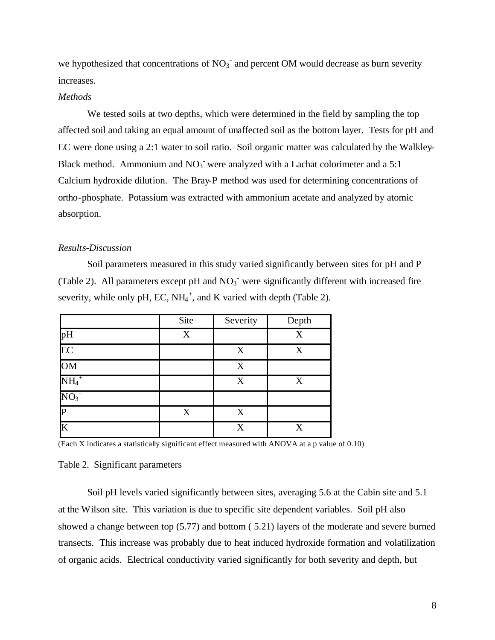we hypothesized that concentrations of  $NO<sub>3</sub>$  and percent OM would decrease as burn severity increases.

#### *Methods*

We tested soils at two depths, which were determined in the field by sampling the top affected soil and taking an equal amount of unaffected soil as the bottom layer. Tests for pH and EC were done using a 2:1 water to soil ratio. Soil organic matter was calculated by the Walkley-Black method. Ammonium and  $NO<sub>3</sub>$  were analyzed with a Lachat colorimeter and a 5:1 Calcium hydroxide dilution. The Bray-P method was used for determining concentrations of ortho-phosphate. Potassium was extracted with ammonium acetate and analyzed by atomic absorption.

#### *Results-Discussion*

Soil parameters measured in this study varied significantly between sites for pH and P (Table 2). All parameters except pH and  $NO<sub>3</sub>$  were significantly different with increased fire severity, while only pH, EC,  $NH_4^+$ , and K varied with depth (Table 2).

|                     | Site | Severity | Depth |
|---------------------|------|----------|-------|
| pH                  | X    |          | X     |
| $\overline{EC}$     |      | X        | X     |
| OM                  |      | X        |       |
| $\mathrm{NH_4}^+$   |      | X        | X     |
| $NO_3$ <sup>-</sup> |      |          |       |
| D                   | X    | X        |       |
| K                   |      | X        | X     |

(Each X indicates a statistically significant effect measured with ANOVA at a p value of 0.10)

#### Table 2. Significant parameters

Soil pH levels varied significantly between sites, averaging 5.6 at the Cabin site and 5.1 at the Wilson site. This variation is due to specific site dependent variables. Soil pH also showed a change between top (5.77) and bottom ( 5.21) layers of the moderate and severe burned transects. This increase was probably due to heat induced hydroxide formation and volatilization of organic acids. Electrical conductivity varied significantly for both severity and depth, but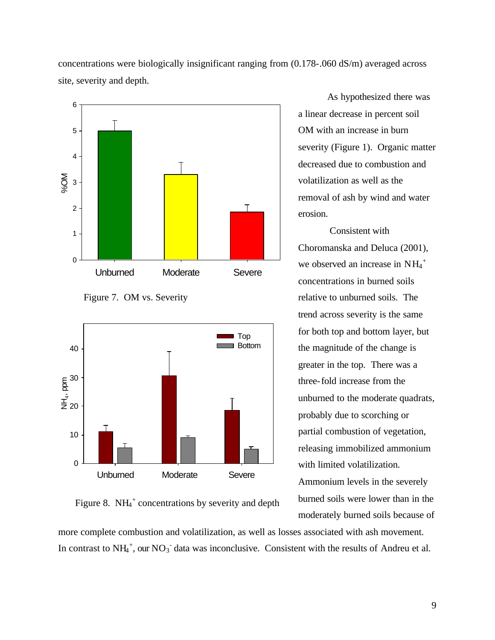concentrations were biologically insignificant ranging from (0.178-.060 dS/m) averaged across site, severity and depth.







Figure 8.  $NH_4^+$  concentrations by severity and depth

As hypothesized there was a linear decrease in percent soil OM with an increase in burn severity (Figure 1). Organic matter decreased due to combustion and volatilization as well as the removal of ash by wind and water erosion.

 Consistent with Choromanska and Deluca (2001), we observed an increase in  $NH_4^+$ concentrations in burned soils relative to unburned soils. The trend across severity is the same for both top and bottom layer, but the magnitude of the change is greater in the top. There was a three-fold increase from the unburned to the moderate quadrats, probably due to scorching or partial combustion of vegetation, releasing immobilized ammonium with limited volatilization. Ammonium levels in the severely burned soils were lower than in the moderately burned soils because of

more complete combustion and volatilization, as well as losses associated with ash movement. In contrast to  $NH_4^+$ , our  $NO_3^-$  data was inconclusive. Consistent with the results of Andreu et al.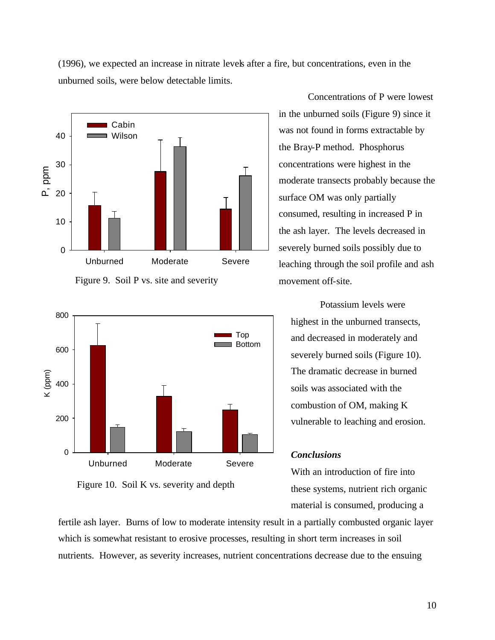(1996), we expected an increase in nitrate levels after a fire, but concentrations, even in the unburned soils, were below detectable limits.



Figure 9. Soil P vs. site and severity



Figure 10. Soil K vs. severity and depth

Concentrations of P were lowest in the unburned soils (Figure 9) since it was not found in forms extractable by the Bray-P method. Phosphorus concentrations were highest in the moderate transects probably because the surface OM was only partially consumed, resulting in increased P in the ash layer. The levels decreased in severely burned soils possibly due to leaching through the soil profile and ash movement off-site.

Potassium levels were highest in the unburned transects, and decreased in moderately and severely burned soils (Figure 10). The dramatic decrease in burned soils was associated with the combustion of OM, making K vulnerable to leaching and erosion.

## *Conclusions*

With an introduction of fire into these systems, nutrient rich organic material is consumed, producing a

fertile ash layer. Burns of low to moderate intensity result in a partially combusted organic layer which is somewhat resistant to erosive processes, resulting in short term increases in soil nutrients. However, as severity increases, nutrient concentrations decrease due to the ensuing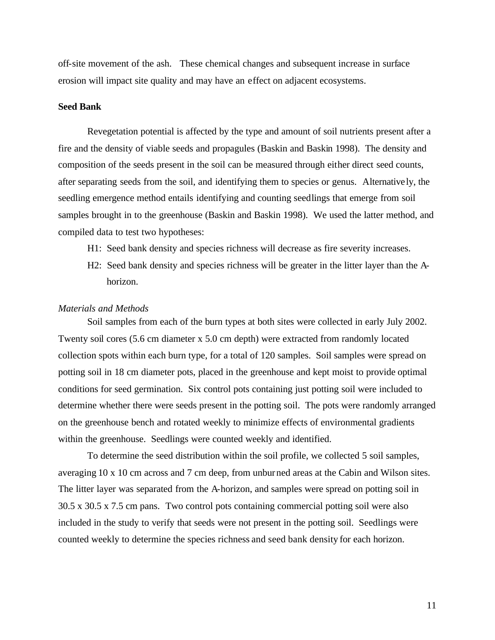off-site movement of the ash. These chemical changes and subsequent increase in surface erosion will impact site quality and may have an effect on adjacent ecosystems.

## **Seed Bank**

Revegetation potential is affected by the type and amount of soil nutrients present after a fire and the density of viable seeds and propagules (Baskin and Baskin 1998). The density and composition of the seeds present in the soil can be measured through either direct seed counts, after separating seeds from the soil, and identifying them to species or genus. Alternatively, the seedling emergence method entails identifying and counting seedlings that emerge from soil samples brought in to the greenhouse (Baskin and Baskin 1998). We used the latter method, and compiled data to test two hypotheses:

- H1: Seed bank density and species richness will decrease as fire severity increases.
- H2: Seed bank density and species richness will be greater in the litter layer than the A horizon.

#### *Materials and Methods*

Soil samples from each of the burn types at both sites were collected in early July 2002. Twenty soil cores (5.6 cm diameter x 5.0 cm depth) were extracted from randomly located collection spots within each burn type, for a total of 120 samples. Soil samples were spread on potting soil in 18 cm diameter pots, placed in the greenhouse and kept moist to provide optimal conditions for seed germination. Six control pots containing just potting soil were included to determine whether there were seeds present in the potting soil. The pots were randomly arranged on the greenhouse bench and rotated weekly to minimize effects of environmental gradients within the greenhouse. Seedlings were counted weekly and identified.

To determine the seed distribution within the soil profile, we collected 5 soil samples, averaging 10 x 10 cm across and 7 cm deep, from unburned areas at the Cabin and Wilson sites. The litter layer was separated from the A-horizon, and samples were spread on potting soil in 30.5 x 30.5 x 7.5 cm pans. Two control pots containing commercial potting soil were also included in the study to verify that seeds were not present in the potting soil. Seedlings were counted weekly to determine the species richness and seed bank density for each horizon.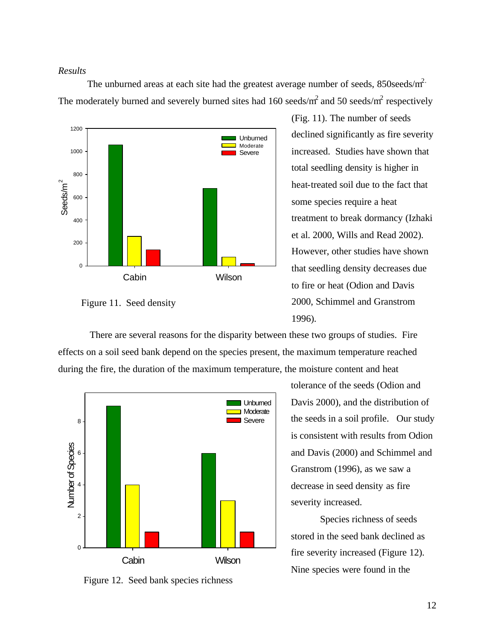## *Results*

The unburned areas at each site had the greatest average number of seeds,  $850$ seeds/m<sup>2.</sup> The moderately burned and severely burned sites had 160 seeds/ $m^2$  and 50 seeds/ $m^2$  respectively



Figure 11. Seed density

(Fig. 11). The number of seeds declined significantly as fire severity increased. Studies have shown that total seedling density is higher in heat-treated soil due to the fact that some species require a heat treatment to break dormancy (Izhaki et al. 2000, Wills and Read 2002). However, other studies have shown that seedling density decreases due to fire or heat (Odion and Davis 2000, Schimmel and Granstrom 1996).

 There are several reasons for the disparity between these two groups of studies. Fire effects on a soil seed bank depend on the species present, the maximum temperature reached during the fire, the duration of the maximum temperature, the moisture content and heat



Figure 12. Seed bank species richness

tolerance of the seeds (Odion and Davis 2000), and the distribution of the seeds in a soil profile. Our study is consistent with results from Odion and Davis (2000) and Schimmel and Granstrom (1996), as we saw a decrease in seed density as fire severity increased.

Species richness of seeds stored in the seed bank declined as fire severity increased (Figure 12). Nine species were found in the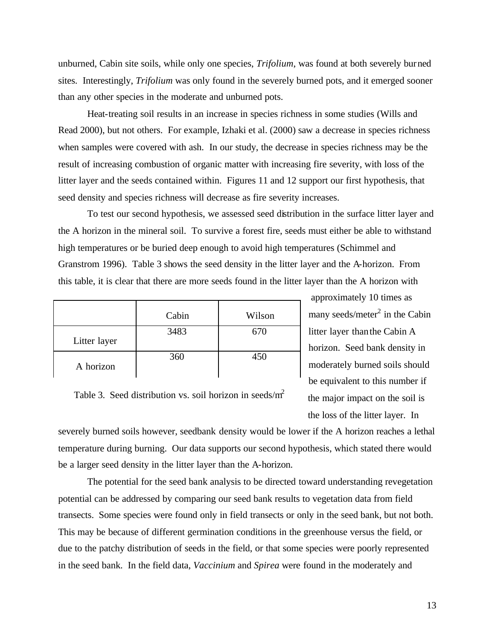unburned, Cabin site soils, while only one species, *Trifolium*, was found at both severely burned sites. Interestingly, *Trifolium* was only found in the severely burned pots, and it emerged sooner than any other species in the moderate and unburned pots.

Heat-treating soil results in an increase in species richness in some studies (Wills and Read 2000), but not others. For example, Izhaki et al. (2000) saw a decrease in species richness when samples were covered with ash. In our study, the decrease in species richness may be the result of increasing combustion of organic matter with increasing fire severity, with loss of the litter layer and the seeds contained within. Figures 11 and 12 support our first hypothesis, that seed density and species richness will decrease as fire severity increases.

To test our second hypothesis, we assessed seed distribution in the surface litter layer and the A horizon in the mineral soil. To survive a forest fire, seeds must either be able to withstand high temperatures or be buried deep enough to avoid high temperatures (Schimmel and Granstrom 1996). Table 3 shows the seed density in the litter layer and the A-horizon. From this table, it is clear that there are more seeds found in the litter layer than the A horizon with

|              | Cabin | Wilson |
|--------------|-------|--------|
| Litter layer | 3483  | 670    |
| A horizon    | 360   | 450    |

 approximately 10 times as many seeds/meter<sup>2</sup> in the Cabin litter layer than the Cabin A horizon. Seed bank density in moderately burned soils should be equivalent to this number if the major impact on the soil is the loss of the litter layer. In

Table 3. Seed distribution vs. soil horizon in seeds/ $m<sup>2</sup>$ 

severely burned soils however, seedbank density would be lower if the A horizon reaches a lethal temperature during burning. Our data supports our second hypothesis, which stated there would be a larger seed density in the litter layer than the A-horizon.

The potential for the seed bank analysis to be directed toward understanding revegetation potential can be addressed by comparing our seed bank results to vegetation data from field transects. Some species were found only in field transects or only in the seed bank, but not both. This may be because of different germination conditions in the greenhouse versus the field, or due to the patchy distribution of seeds in the field, or that some species were poorly represented in the seed bank. In the field data, *Vaccinium* and *Spirea* were found in the moderately and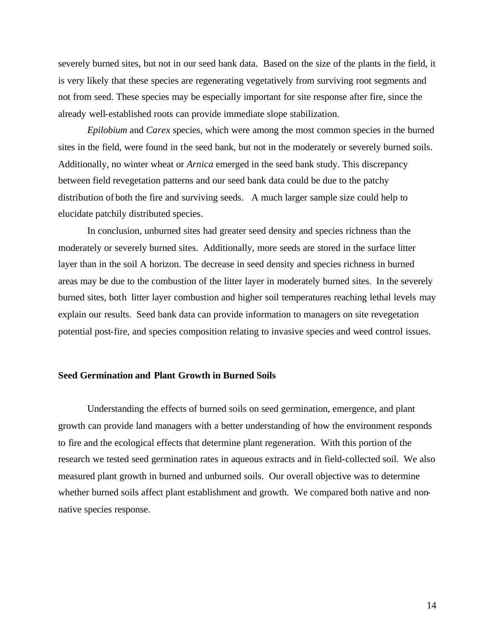severely burned sites, but not in our seed bank data. Based on the size of the plants in the field, it is very likely that these species are regenerating vegetatively from surviving root segments and not from seed. These species may be especially important for site response after fire, since the already well-established roots can provide immediate slope stabilization.

*Epilobium* and *Carex* species, which were among the most common species in the burned sites in the field, were found in the seed bank, but not in the moderately or severely burned soils. Additionally, no winter wheat or *Arnica* emerged in the seed bank study. This discrepancy between field revegetation patterns and our seed bank data could be due to the patchy distribution of both the fire and surviving seeds. A much larger sample size could help to elucidate patchily distributed species.

In conclusion, unburned sites had greater seed density and species richness than the moderately or severely burned sites. Additionally, more seeds are stored in the surface litter layer than in the soil A horizon. The decrease in seed density and species richness in burned areas may be due to the combustion of the litter layer in moderately burned sites. In the severely burned sites, both litter layer combustion and higher soil temperatures reaching lethal levels may explain our results. Seed bank data can provide information to managers on site revegetation potential post-fire, and species composition relating to invasive species and weed control issues.

#### **Seed Germination and Plant Growth in Burned Soils**

Understanding the effects of burned soils on seed germination, emergence, and plant growth can provide land managers with a better understanding of how the environment responds to fire and the ecological effects that determine plant regeneration. With this portion of the research we tested seed germination rates in aqueous extracts and in field-collected soil. We also measured plant growth in burned and unburned soils. Our overall objective was to determine whether burned soils affect plant establishment and growth. We compared both native and nonnative species response.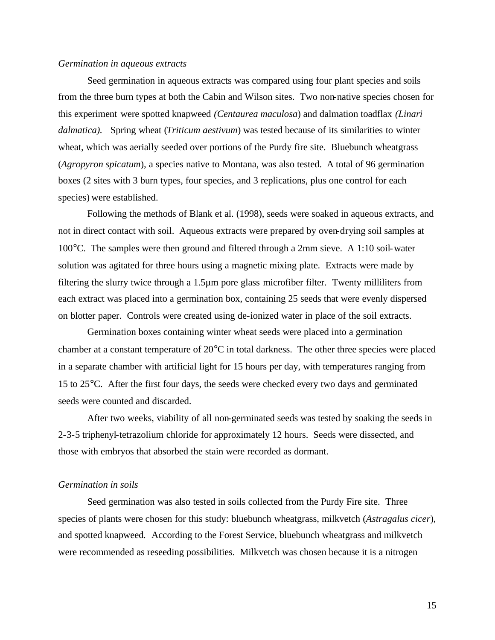#### *Germination in aqueous extracts*

Seed germination in aqueous extracts was compared using four plant species and soils from the three burn types at both the Cabin and Wilson sites. Two non-native species chosen for this experiment were spotted knapweed *(Centaurea maculosa*) and dalmation toadflax *(Linari dalmatica).* Spring wheat (*Triticum aestivum*) was tested because of its similarities to winter wheat, which was aerially seeded over portions of the Purdy fire site. Bluebunch wheatgrass (*Agropyron spicatum*), a species native to Montana, was also tested. A total of 96 germination boxes (2 sites with 3 burn types, four species, and 3 replications, plus one control for each species) were established.

Following the methods of Blank et al. (1998), seeds were soaked in aqueous extracts, and not in direct contact with soil. Aqueous extracts were prepared by oven-drying soil samples at 100°C. The samples were then ground and filtered through a 2mm sieve. A 1:10 soil-water solution was agitated for three hours using a magnetic mixing plate. Extracts were made by filtering the slurry twice through a 1.5µm pore glass microfiber filter. Twenty milliliters from each extract was placed into a germination box, containing 25 seeds that were evenly dispersed on blotter paper. Controls were created using de-ionized water in place of the soil extracts.

Germination boxes containing winter wheat seeds were placed into a germination chamber at a constant temperature of 20°C in total darkness. The other three species were placed in a separate chamber with artificial light for 15 hours per day, with temperatures ranging from 15 to 25°C. After the first four days, the seeds were checked every two days and germinated seeds were counted and discarded.

After two weeks, viability of all non-germinated seeds was tested by soaking the seeds in 2-3-5 triphenyl-tetrazolium chloride for approximately 12 hours. Seeds were dissected, and those with embryos that absorbed the stain were recorded as dormant.

#### *Germination in soils*

Seed germination was also tested in soils collected from the Purdy Fire site. Three species of plants were chosen for this study: bluebunch wheatgrass, milkvetch (*Astragalus cicer*), and spotted knapweed*.* According to the Forest Service, bluebunch wheatgrass and milkvetch were recommended as reseeding possibilities. Milkvetch was chosen because it is a nitrogen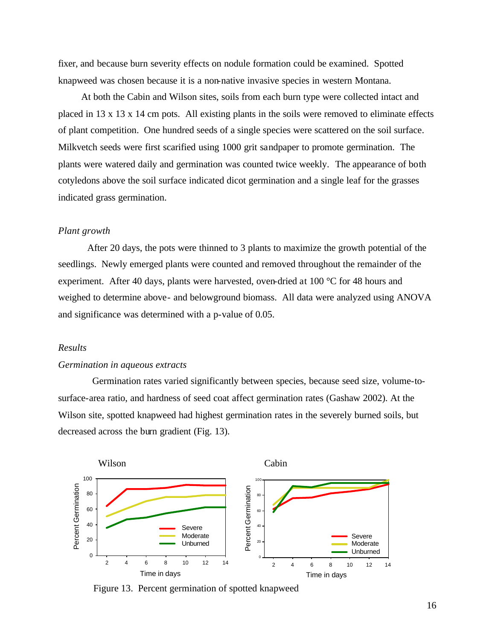fixer, and because burn severity effects on nodule formation could be examined. Spotted knapweed was chosen because it is a non-native invasive species in western Montana.

At both the Cabin and Wilson sites, soils from each burn type were collected intact and placed in 13 x 13 x 14 cm pots. All existing plants in the soils were removed to eliminate effects of plant competition. One hundred seeds of a single species were scattered on the soil surface. Milkvetch seeds were first scarified using 1000 grit sandpaper to promote germination. The plants were watered daily and germination was counted twice weekly. The appearance of both cotyledons above the soil surface indicated dicot germination and a single leaf for the grasses indicated grass germination.

## *Plant growth*

After 20 days, the pots were thinned to 3 plants to maximize the growth potential of the seedlings. Newly emerged plants were counted and removed throughout the remainder of the experiment. After 40 days, plants were harvested, oven-dried at 100 °C for 48 hours and weighed to determine above- and belowground biomass. All data were analyzed using ANOVA and significance was determined with a p-value of 0.05.

#### *Results*

#### *Germination in aqueous extracts*

 Germination rates varied significantly between species, because seed size, volume-tosurface-area ratio, and hardness of seed coat affect germination rates (Gashaw 2002). At the Wilson site, spotted knapweed had highest germination rates in the severely burned soils, but decreased across the burn gradient (Fig. 13).



Figure 13. Percent germination of spotted knapweed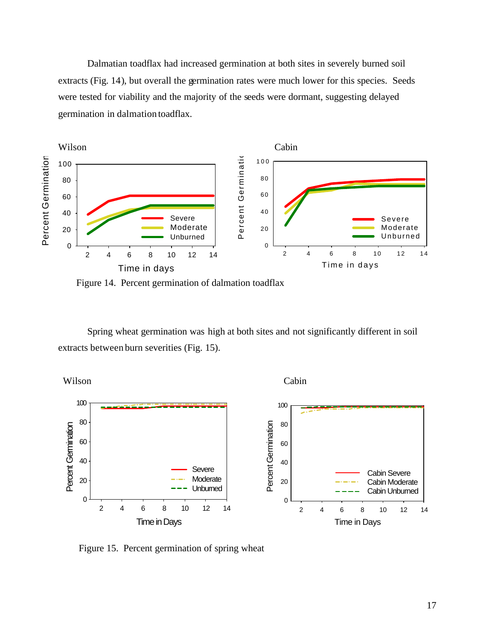Dalmatian toadflax had increased germination at both sites in severely burned soil extracts (Fig. 14), but overall the germination rates were much lower for this species. Seeds were tested for viability and the majority of the seeds were dormant, suggesting delayed germination in dalmation toadflax.



Figure 14. Percent germination of dalmation toadflax

Spring wheat germination was high at both sites and not significantly different in soil extracts between burn severities (Fig. 15).



Figure 15. Percent germination of spring wheat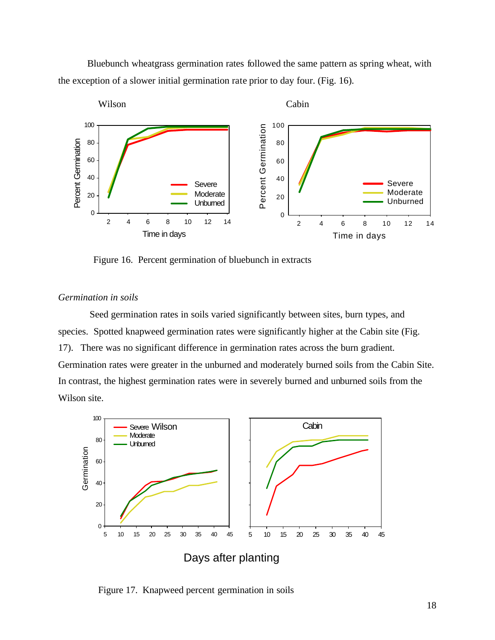Bluebunch wheatgrass germination rates followed the same pattern as spring wheat, with the exception of a slower initial germination rate prior to day four. (Fig. 16).



Figure 16. Percent germination of bluebunch in extracts

## *Germination in soils*

Seed germination rates in soils varied significantly between sites, burn types, and species. Spotted knapweed germination rates were significantly higher at the Cabin site (Fig. 17). There was no significant difference in germination rates across the burn gradient. Germination rates were greater in the unburned and moderately burned soils from the Cabin Site. In contrast, the highest germination rates were in severely burned and unburned soils from the Wilson site.



Figure 17. Knapweed percent germination in soils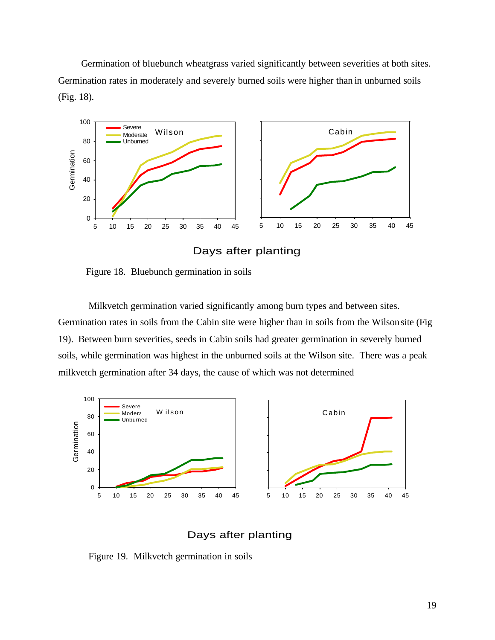Germination of bluebunch wheatgrass varied significantly between severities at both sites. Germination rates in moderately and severely burned soils were higher than in unburned soils (Fig. 18).



Days after planting

Figure 18. Bluebunch germination in soils

 Milkvetch germination varied significantly among burn types and between sites. Germination rates in soils from the Cabin site were higher than in soils from the Wilson site (Fig 19). Between burn severities, seeds in Cabin soils had greater germination in severely burned soils, while germination was highest in the unburned soils at the Wilson site. There was a peak milkvetch germination after 34 days, the cause of which was not determined



Days after planting

Figure 19. Milkvetch germination in soils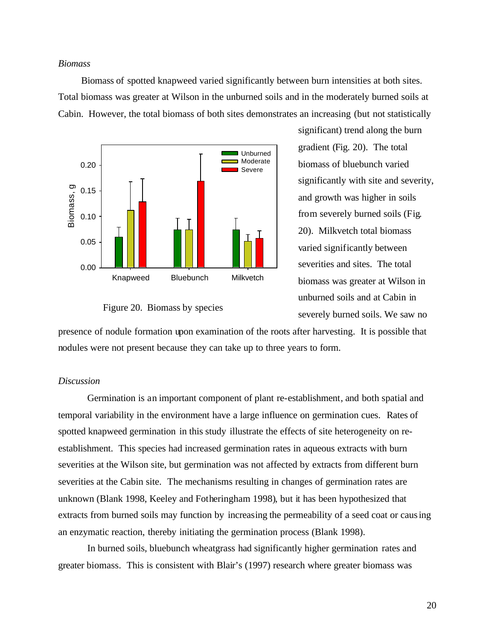#### *Biomass*

Biomass of spotted knapweed varied significantly between burn intensities at both sites. Total biomass was greater at Wilson in the unburned soils and in the moderately burned soils at Cabin. However, the total biomass of both sites demonstrates an increasing (but not statistically



#### Figure 20. Biomass by species

significant) trend along the burn gradient (Fig. 20). The total biomass of bluebunch varied significantly with site and severity, and growth was higher in soils from severely burned soils (Fig. 20). Milkvetch total biomass varied significantly between severities and sites. The total biomass was greater at Wilson in unburned soils and at Cabin in severely burned soils. We saw no

presence of nodule formation upon examination of the roots after harvesting. It is possible that nodules were not present because they can take up to three years to form.

## *Discussion*

Germination is an important component of plant re-establishment, and both spatial and temporal variability in the environment have a large influence on germination cues. Rates of spotted knapweed germination in this study illustrate the effects of site heterogeneity on reestablishment. This species had increased germination rates in aqueous extracts with burn severities at the Wilson site, but germination was not affected by extracts from different burn severities at the Cabin site. The mechanisms resulting in changes of germination rates are unknown (Blank 1998, Keeley and Fotheringham 1998), but it has been hypothesized that extracts from burned soils may function by increasing the permeability of a seed coat or causing an enzymatic reaction, thereby initiating the germination process (Blank 1998).

In burned soils, bluebunch wheatgrass had significantly higher germination rates and greater biomass.This is consistent with Blair's (1997) research where greater biomass was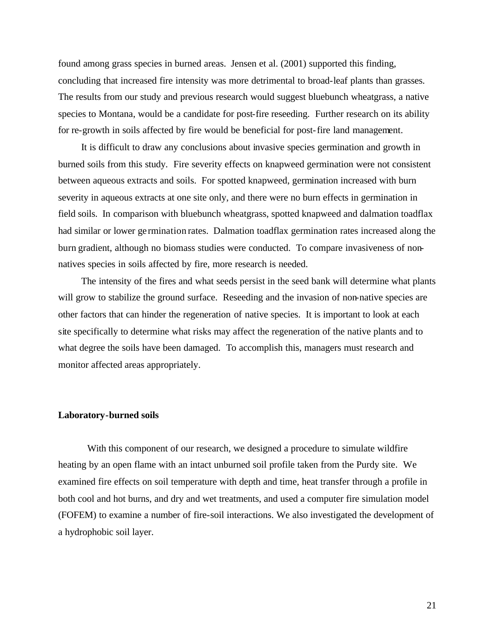found among grass species in burned areas.Jensen et al. (2001) supported this finding, concluding that increased fire intensity was more detrimental to broad-leaf plants than grasses. The results from our study and previous research would suggest bluebunch wheatgrass, a native species to Montana, would be a candidate for post-fire reseeding.Further research on its ability for re-growth in soils affected by fire would be beneficial for post-fire land management.

It is difficult to draw any conclusions about invasive species germination and growth in burned soils from this study. Fire severity effects on knapweed germination were not consistent between aqueous extracts and soils. For spotted knapweed, germination increased with burn severity in aqueous extracts at one site only, and there were no burn effects in germination in field soils. In comparison with bluebunch wheatgrass, spotted knapweed and dalmation toadflax had similar or lower germination rates. Dalmation toadflax germination rates increased along the burn gradient, although no biomass studies were conducted. To compare invasiveness of nonnatives species in soils affected by fire, more research is needed.

The intensity of the fires and what seeds persist in the seed bank will determine what plants will grow to stabilize the ground surface. Reseeding and the invasion of non-native species are other factors that can hinder the regeneration of native species. It is important to look at each site specifically to determine what risks may affect the regeneration of the native plants and to what degree the soils have been damaged. To accomplish this, managers must research and monitor affected areas appropriately.

#### **Laboratory-burned soils**

With this component of our research, we designed a procedure to simulate wildfire heating by an open flame with an intact unburned soil profile taken from the Purdy site. We examined fire effects on soil temperature with depth and time, heat transfer through a profile in both cool and hot burns, and dry and wet treatments, and used a computer fire simulation model (FOFEM) to examine a number of fire-soil interactions. We also investigated the development of a hydrophobic soil layer.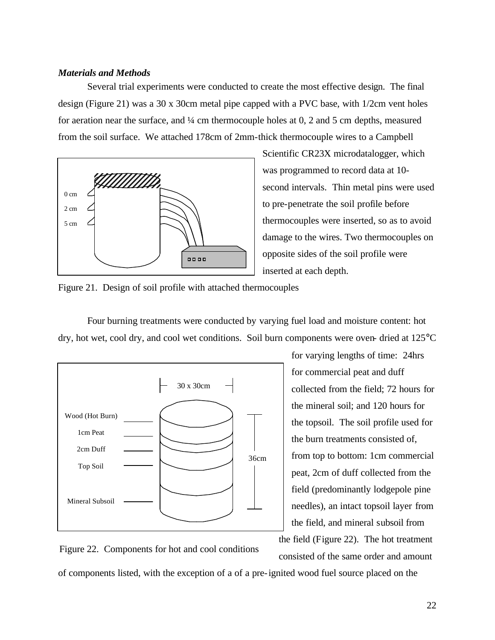## *Materials and Methods*

Several trial experiments were conducted to create the most effective design. The final design (Figure 21) was a 30 x 30cm metal pipe capped with a PVC base, with 1/2cm vent holes for aeration near the surface, and ¼ cm thermocouple holes at 0, 2 and 5 cm depths, measured from the soil surface. We attached 178cm of 2mm-thick thermocouple wires to a Campbell



Scientific CR23X microdatalogger, which was programmed to record data at 10 second intervals. Thin metal pins were used to pre-penetrate the soil profile before thermocouples were inserted, so as to avoid damage to the wires. Two thermocouples on opposite sides of the soil profile were inserted at each depth.

Figure 21. Design of soil profile with attached thermocouples

Four burning treatments were conducted by varying fuel load and moisture content: hot dry, hot wet, cool dry, and cool wet conditions. Soil burn components were oven- dried at 125°C



for varying lengths of time: 24hrs for commercial peat and duff collected from the field; 72 hours for the mineral soil; and 120 hours for the topsoil. The soil profile used for the burn treatments consisted of, from top to bottom: 1cm commercial peat, 2cm of duff collected from the field (predominantly lodgepole pine needles), an intact topsoil layer from the field, and mineral subsoil from the field (Figure 22). The hot treatment consisted of the same order and amount

Figure 22. Components for hot and cool conditions

of components listed, with the exception of a of a pre-ignited wood fuel source placed on the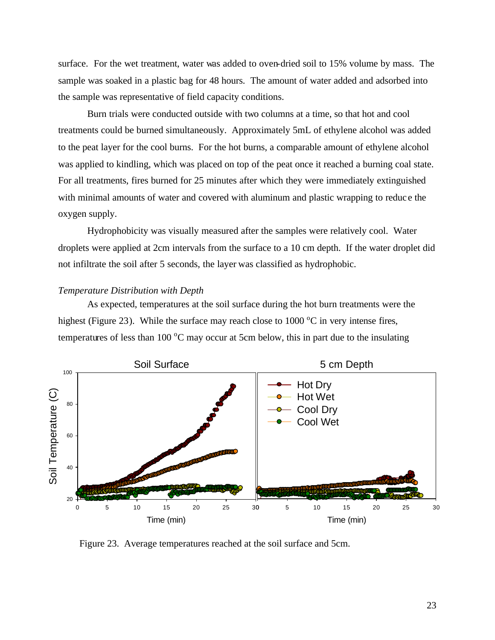surface. For the wet treatment, water was added to oven-dried soil to 15% volume by mass. The sample was soaked in a plastic bag for 48 hours. The amount of water added and adsorbed into the sample was representative of field capacity conditions.

Burn trials were conducted outside with two columns at a time, so that hot and cool treatments could be burned simultaneously. Approximately 5mL of ethylene alcohol was added to the peat layer for the cool burns. For the hot burns, a comparable amount of ethylene alcohol was applied to kindling, which was placed on top of the peat once it reached a burning coal state. For all treatments, fires burned for 25 minutes after which they were immediately extinguished with minimal amounts of water and covered with aluminum and plastic wrapping to reduc e the oxygen supply.

Hydrophobicity was visually measured after the samples were relatively cool. Water droplets were applied at 2cm intervals from the surface to a 10 cm depth. If the water droplet did not infiltrate the soil after 5 seconds, the layer was classified as hydrophobic.

## *Temperature Distribution with Depth*

As expected, temperatures at the soil surface during the hot burn treatments were the highest (Figure 23). While the surface may reach close to  $1000\degree$ C in very intense fires, temperatures of less than 100  $^{\circ}$ C may occur at 5cm below, this in part due to the insulating



Figure 23. Average temperatures reached at the soil surface and 5cm.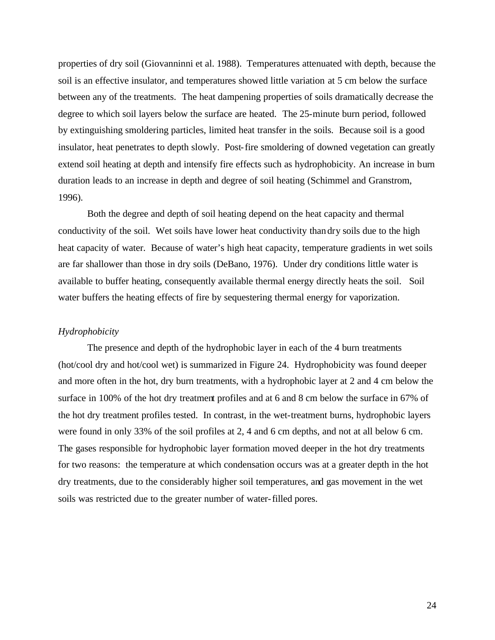properties of dry soil (Giovanninni et al. 1988).Temperatures attenuated with depth, because the soil is an effective insulator, and temperatures showed little variation at 5 cm below the surface between any of the treatments. The heat dampening properties of soils dramatically decrease the degree to which soil layers below the surface are heated. The 25-minute burn period, followed by extinguishing smoldering particles, limited heat transfer in the soils. Because soil is a good insulator, heat penetrates to depth slowly. Post-fire smoldering of downed vegetation can greatly extend soil heating at depth and intensify fire effects such as hydrophobicity. An increase in burn duration leads to an increase in depth and degree of soil heating (Schimmel and Granstrom, 1996).

Both the degree and depth of soil heating depend on the heat capacity and thermal conductivity of the soil. Wet soils have lower heat conductivity than dry soils due to the high heat capacity of water. Because of water's high heat capacity, temperature gradients in wet soils are far shallower than those in dry soils (DeBano, 1976). Under dry conditions little water is available to buffer heating, consequently available thermal energy directly heats the soil. Soil water buffers the heating effects of fire by sequestering thermal energy for vaporization.

## *Hydrophobicity*

The presence and depth of the hydrophobic layer in each of the 4 burn treatments (hot/cool dry and hot/cool wet) is summarized in Figure 24. Hydrophobicity was found deeper and more often in the hot, dry burn treatments, with a hydrophobic layer at 2 and 4 cm below the surface in 100% of the hot dry treatment profiles and at 6 and 8 cm below the surface in 67% of the hot dry treatment profiles tested. In contrast, in the wet-treatment burns, hydrophobic layers were found in only 33% of the soil profiles at 2, 4 and 6 cm depths, and not at all below 6 cm. The gases responsible for hydrophobic layer formation moved deeper in the hot dry treatments for two reasons: the temperature at which condensation occurs was at a greater depth in the hot dry treatments, due to the considerably higher soil temperatures, and gas movement in the wet soils was restricted due to the greater number of water-filled pores.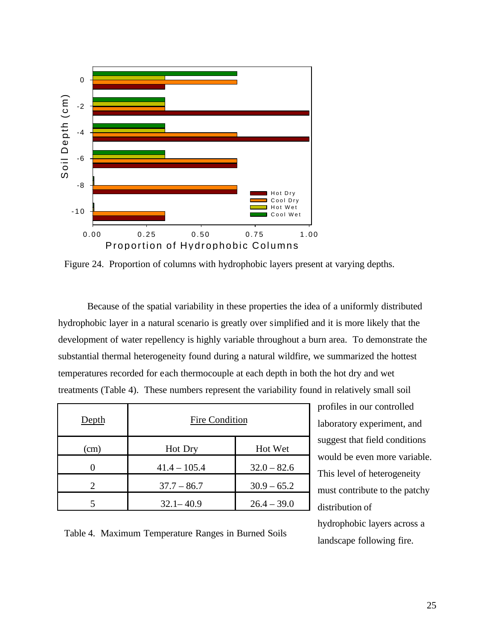

Figure 24. Proportion of columns with hydrophobic layers present at varying depths.

Because of the spatial variability in these properties the idea of a uniformly distributed hydrophobic layer in a natural scenario is greatly over simplified and it is more likely that the development of water repellency is highly variable throughout a burn area. To demonstrate the substantial thermal heterogeneity found during a natural wildfire, we summarized the hottest temperatures recorded for each thermocouple at each depth in both the hot dry and wet treatments (Table 4). These numbers represent the variability found in relatively small soil

| Depth                       | Fire Condition |               |  |
|-----------------------------|----------------|---------------|--|
| (cm)                        | Hot Dry        | Hot Wet       |  |
|                             | $41.4 - 105.4$ | $32.0 - 82.6$ |  |
| $\mathcal{D}_{\mathcal{A}}$ | $37.7 - 86.7$  | $30.9 - 65.2$ |  |
|                             | $32.1 - 40.9$  | $26.4 - 39.0$ |  |

profiles in our controlled laboratory experiment, and suggest that field conditions would be even more variable. This level of heterogeneity must contribute to the patchy distribution of hydrophobic layers across a landscape following fire.

Table 4. Maximum Temperature Ranges in Burned Soils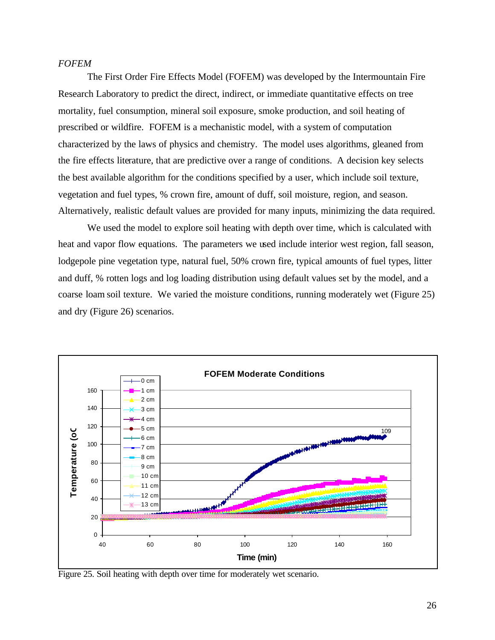## *FOFEM*

The First Order Fire Effects Model (FOFEM) was developed by the Intermountain Fire Research Laboratory to predict the direct, indirect, or immediate quantitative effects on tree mortality, fuel consumption, mineral soil exposure, smoke production, and soil heating of prescribed or wildfire. FOFEM is a mechanistic model, with a system of computation characterized by the laws of physics and chemistry. The model uses algorithms, gleaned from the fire effects literature, that are predictive over a range of conditions. A decision key selects the best available algorithm for the conditions specified by a user, which include soil texture, vegetation and fuel types, % crown fire, amount of duff, soil moisture, region, and season. Alternatively, realistic default values are provided for many inputs, minimizing the data required.

We used the model to explore soil heating with depth over time, which is calculated with heat and vapor flow equations. The parameters we used include interior west region, fall season, lodgepole pine vegetation type, natural fuel, 50% crown fire, typical amounts of fuel types, litter and duff, % rotten logs and log loading distribution using default values set by the model, and a coarse loam soil texture. We varied the moisture conditions, running moderately wet (Figure 25) and dry (Figure 26) scenarios.



Figure 25. Soil heating with depth over time for moderately wet scenario.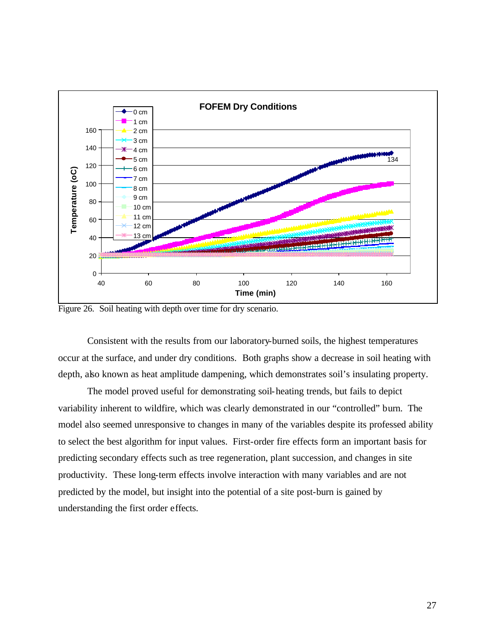

Figure 26. Soil heating with depth over time for dry scenario.

Consistent with the results from our laboratory-burned soils, the highest temperatures occur at the surface, and under dry conditions. Both graphs show a decrease in soil heating with depth, also known as heat amplitude dampening, which demonstrates soil's insulating property.

The model proved useful for demonstrating soil-heating trends, but fails to depict variability inherent to wildfire, which was clearly demonstrated in our "controlled" burn. The model also seemed unresponsive to changes in many of the variables despite its professed ability to select the best algorithm for input values. First-order fire effects form an important basis for predicting secondary effects such as tree regeneration, plant succession, and changes in site productivity. These long-term effects involve interaction with many variables and are not predicted by the model, but insight into the potential of a site post-burn is gained by understanding the first order effects.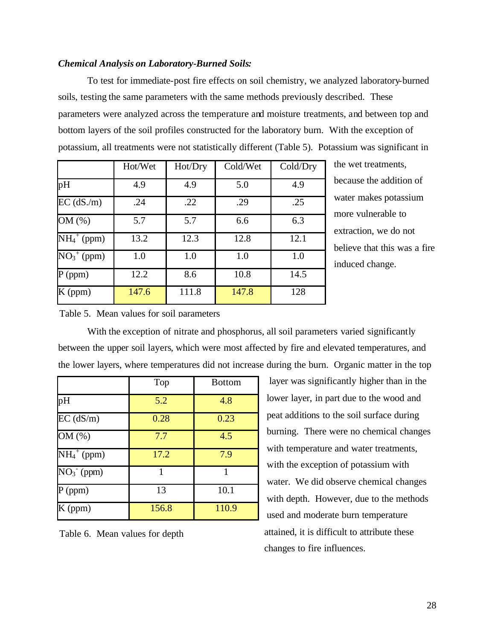## *Chemical Analysis on Laboratory-Burned Soils:*

To test for immediate-post fire effects on soil chemistry, we analyzed laboratory-burned soils, testing the same parameters with the same methods previously described. These parameters were analyzed across the temperature and moisture treatments, and between top and bottom layers of the soil profiles constructed for the laboratory burn. With the exception of potassium, all treatments were not statistically different (Table 5). Potassium was significant in

|                                      | Hot/Wet | Hot/Dry | Cold/Wet | Cold/Dry |
|--------------------------------------|---------|---------|----------|----------|
| pH                                   | 4.9     | 4.9     | 5.0      | 4.9      |
| $EC$ (dS./m)                         | .24     | .22     | .29      | .25      |
| OM (%)                               | 5.7     | 5.7     | 6.6      | 6.3      |
| $\overline{\mathrm{NH}}_4{}^+$ (ppm) | 13.2    | 12.3    | 12.8     | 12.1     |
| $\overline{NO_3}^+$ (ppm)            | 1.0     | 1.0     | 1.0      | 1.0      |
| $P$ (ppm)                            | 12.2    | 8.6     | 10.8     | 14.5     |
| $K$ (ppm)                            | 147.6   | 111.8   | 147.8    | 128      |

the wet treatments, because the addition of water makes potassium more vulnerable to extraction, we do not believe that this was a fire induced change.

#### Table 5. Mean values for soil parameters

With the exception of nitrate and phosphorus, all soil parameters varied significantly between the upper soil layers, which were most affected by fire and elevated temperatures, and the lower layers, where temperatures did not increase during the burn. Organic matter in the top

|                                    | Top   | <b>Bottom</b> |
|------------------------------------|-------|---------------|
| pH                                 | 5.2   | 4.8           |
| $EC$ ( $dS/m$ )                    | 0.28  | 0.23          |
| OM (%)                             | 7.7   | 4.5           |
| $\overline{\mathrm{NH_4}^+}$ (ppm) | 17.2  | 7.9           |
| $NO3- (ppm)$                       | 1     | 1             |
| $P$ (ppm)                          | 13    | 10.1          |
| K (ppm)                            | 156.8 | 110.9         |

Table 6. Mean values for depth

 layer was significantly higher than in the lower layer, in part due to the wood and peat additions to the soil surface during burning. There were no chemical changes with temperature and water treatments, with the exception of potassium with water. We did observe chemical changes with depth. However, due to the methods used and moderate burn temperature attained, it is difficult to attribute these changes to fire influences.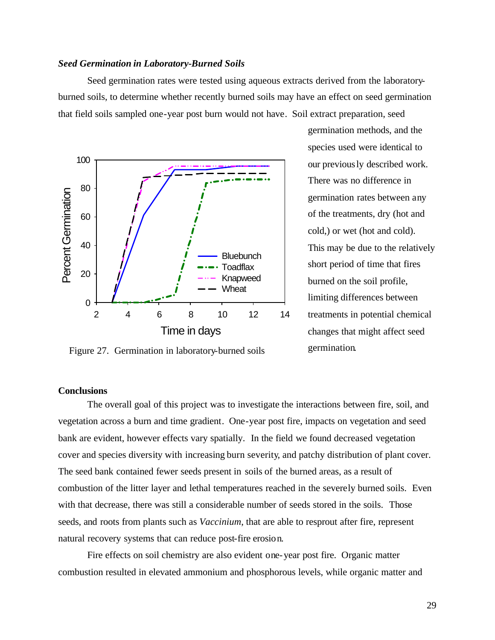#### *Seed Germination in Laboratory-Burned Soils*

Seed germination rates were tested using aqueous extracts derived from the laboratoryburned soils, to determine whether recently burned soils may have an effect on seed germination that field soils sampled one-year post burn would not have. Soil extract preparation, seed



germination methods, and the species used were identical to our previously described work. There was no difference in germination rates between any of the treatments, dry (hot and cold,) or wet (hot and cold). This may be due to the relatively short period of time that fires burned on the soil profile, limiting differences between treatments in potential chemical changes that might affect seed germination.

Figure 27. Germination in laboratory-burned soils

## **Conclusions**

The overall goal of this project was to investigate the interactions between fire, soil, and vegetation across a burn and time gradient. One-year post fire, impacts on vegetation and seed bank are evident, however effects vary spatially. In the field we found decreased vegetation cover and species diversity with increasing burn severity, and patchy distribution of plant cover. The seed bank contained fewer seeds present in soils of the burned areas, as a result of combustion of the litter layer and lethal temperatures reached in the severely burned soils. Even with that decrease, there was still a considerable number of seeds stored in the soils. Those seeds, and roots from plants such as *Vaccinium*, that are able to resprout after fire, represent natural recovery systems that can reduce post-fire erosion.

Fire effects on soil chemistry are also evident one-year post fire. Organic matter combustion resulted in elevated ammonium and phosphorous levels, while organic matter and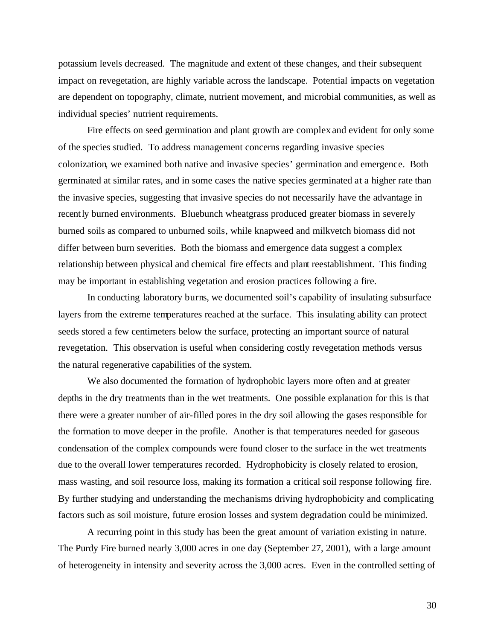potassium levels decreased. The magnitude and extent of these changes, and their subsequent impact on revegetation, are highly variable across the landscape. Potential impacts on vegetation are dependent on topography, climate, nutrient movement, and microbial communities, as well as individual species' nutrient requirements.

Fire effects on seed germination and plant growth are complex and evident for only some of the species studied. To address management concerns regarding invasive species colonization, we examined both native and invasive species' germination and emergence. Both germinated at similar rates, and in some cases the native species germinated at a higher rate than the invasive species, suggesting that invasive species do not necessarily have the advantage in recently burned environments. Bluebunch wheatgrass produced greater biomass in severely burned soils as compared to unburned soils, while knapweed and milkvetch biomass did not differ between burn severities. Both the biomass and emergence data suggest a complex relationship between physical and chemical fire effects and plant reestablishment. This finding may be important in establishing vegetation and erosion practices following a fire.

In conducting laboratory burns, we documented soil's capability of insulating subsurface layers from the extreme temperatures reached at the surface. This insulating ability can protect seeds stored a few centimeters below the surface, protecting an important source of natural revegetation. This observation is useful when considering costly revegetation methods versus the natural regenerative capabilities of the system.

We also documented the formation of hydrophobic layers more often and at greater depths in the dry treatments than in the wet treatments. One possible explanation for this is that there were a greater number of air-filled pores in the dry soil allowing the gases responsible for the formation to move deeper in the profile. Another is that temperatures needed for gaseous condensation of the complex compounds were found closer to the surface in the wet treatments due to the overall lower temperatures recorded. Hydrophobicity is closely related to erosion, mass wasting, and soil resource loss, making its formation a critical soil response following fire. By further studying and understanding the mechanisms driving hydrophobicity and complicating factors such as soil moisture, future erosion losses and system degradation could be minimized.

A recurring point in this study has been the great amount of variation existing in nature. The Purdy Fire burned nearly 3,000 acres in one day (September 27, 2001), with a large amount of heterogeneity in intensity and severity across the 3,000 acres. Even in the controlled setting of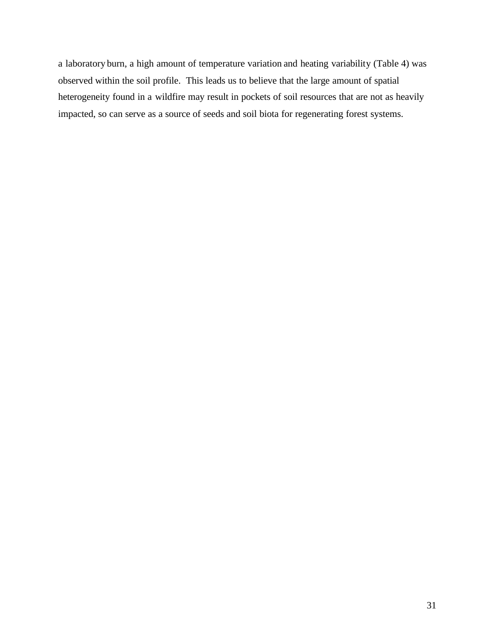a laboratory burn, a high amount of temperature variation and heating variability (Table 4) was observed within the soil profile. This leads us to believe that the large amount of spatial heterogeneity found in a wildfire may result in pockets of soil resources that are not as heavily impacted, so can serve as a source of seeds and soil biota for regenerating forest systems.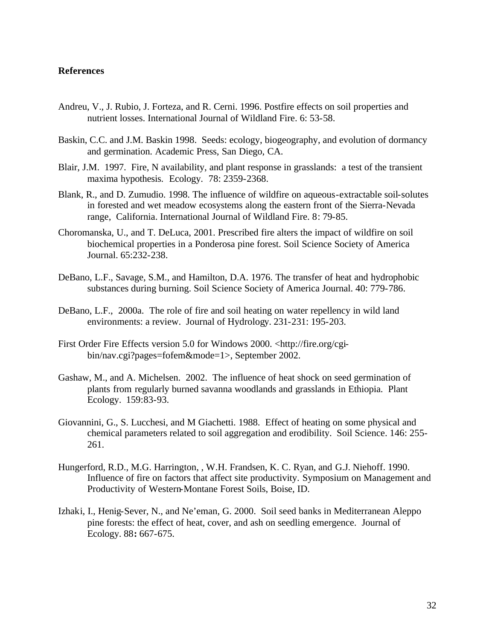## **References**

- Andreu, V., J. Rubio, J. Forteza, and R. Cerni. 1996. Postfire effects on soil properties and nutrient losses. International Journal of Wildland Fire. 6: 53-58.
- Baskin, C.C. and J.M. Baskin 1998. Seeds: ecology, biogeography, and evolution of dormancy and germination. Academic Press, San Diego, CA.
- Blair, J.M. 1997. Fire, N availability, and plant response in grasslands: a test of the transient maxima hypothesis. Ecology. 78: 2359-2368.
- Blank, R., and D. Zumudio. 1998. The influence of wildfire on aqueous-extractable soil-solutes in forested and wet meadow ecosystems along the eastern front of the Sierra-Nevada range, California. International Journal of Wildland Fire. 8: 79-85.
- Choromanska, U., and T. DeLuca, 2001. Prescribed fire alters the impact of wildfire on soil biochemical properties in a Ponderosa pine forest. Soil Science Society of America Journal. 65:232-238.
- DeBano, L.F., Savage, S.M., and Hamilton, D.A. 1976. The transfer of heat and hydrophobic substances during burning. Soil Science Society of America Journal. 40: 779-786.
- DeBano, L.F., 2000a. The role of fire and soil heating on water repellency in wild land environments: a review. Journal of Hydrology. 231-231: 195-203.
- First Order Fire Effects version 5.0 for Windows 2000. <http://fire.org/cgibin/nav.cgi?pages=fofem&mode=1>, September 2002.
- Gashaw, M., and A. Michelsen. 2002. The influence of heat shock on seed germination of plants from regularly burned savanna woodlands and grasslands in Ethiopia. Plant Ecology. 159:83-93.
- Giovannini, G., S. Lucchesi, and M Giachetti. 1988. Effect of heating on some physical and chemical parameters related to soil aggregation and erodibility. Soil Science. 146: 255- 261.
- Hungerford, R.D., M.G. Harrington, , W.H. Frandsen, K. C. Ryan, and G.J. Niehoff. 1990. Influence of fire on factors that affect site productivity. Symposium on Management and Productivity of Western-Montane Forest Soils, Boise, ID.
- Izhaki, I., Henig-Sever, N., and Ne'eman, G. 2000. Soil seed banks in Mediterranean Aleppo pine forests: the effect of heat, cover, and ash on seedling emergence. Journal of Ecology. 88**:** 667-675.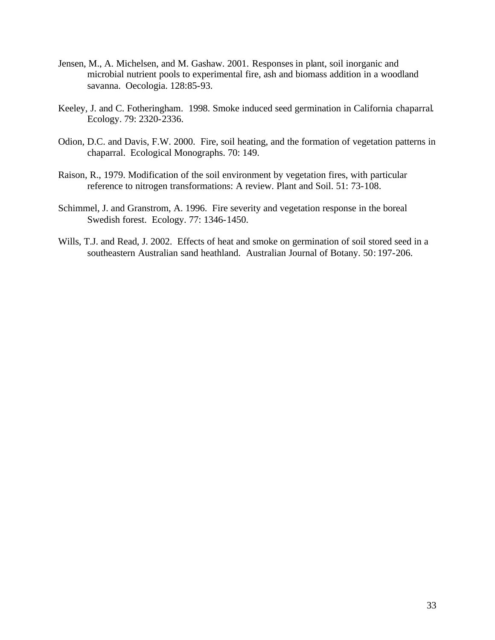- Jensen, M., A. Michelsen, and M. Gashaw. 2001. Responses in plant, soil inorganic and microbial nutrient pools to experimental fire, ash and biomass addition in a woodland savanna. Oecologia. 128:85-93.
- Keeley, J. and C. Fotheringham. 1998. Smoke induced seed germination in California chaparral. Ecology. 79: 2320-2336.
- Odion, D.C. and Davis, F.W. 2000. Fire, soil heating, and the formation of vegetation patterns in chaparral. Ecological Monographs. 70: 149.
- Raison, R., 1979. Modification of the soil environment by vegetation fires, with particular reference to nitrogen transformations: A review. Plant and Soil. 51: 73-108.
- Schimmel, J. and Granstrom, A. 1996. Fire severity and vegetation response in the boreal Swedish forest. Ecology. 77: 1346-1450.
- Wills, T.J. and Read, J. 2002. Effects of heat and smoke on germination of soil stored seed in a southeastern Australian sand heathland. Australian Journal of Botany. 50: 197-206.